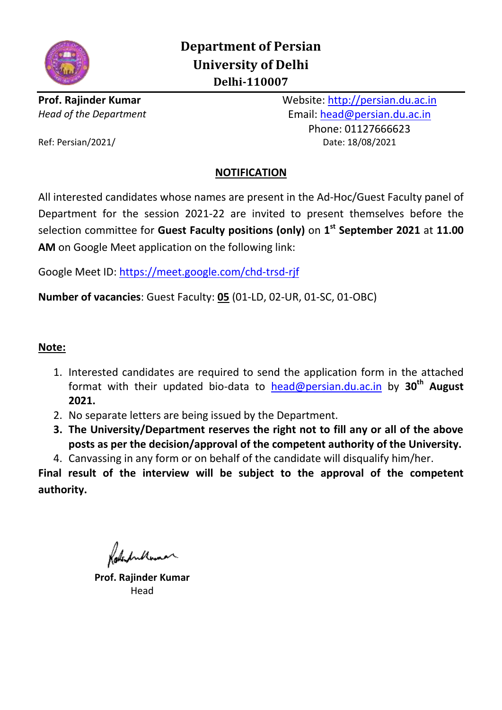

**Prof. Rajinder Kumar** Website: [http://persian.du.ac.in](http://persian.du.ac.in/) *Head of the Department* Email: [head@persian.du.ac.in](mailto:head@persian.du.ac.in) Phone: 01127666623 Ref: Persian/2021/ Date: 18/08/2021

# **NOTIFICATION**

All interested candidates whose names are present in the Ad-Hoc/Guest Faculty panel of Department for the session 2021-22 are invited to present themselves before the selection committee for **Guest Faculty positions (only)** on **1 st September 2021** at **11.00 AM** on Google Meet application on the following link:

Google Meet ID: [https://meet.google.com/chd-trsd-rjf](https://meet.google.com/ati-wdyi-pkc)

**Number of vacancies**: Guest Faculty: **05** (01-LD, 02-UR, 01-SC, 01-OBC)

## **Note:**

- 1. Interested candidates are required to send the application form in the attached format with their updated bio-data to [head@persian.du.ac.in](mailto:head@persian.du.ac.in) by **30th August 2021.**
- 2. No separate letters are being issued by the Department.
- **3. The University/Department reserves the right not to fill any or all of the above posts as per the decision/approval of the competent authority of the University.**

4. Canvassing in any form or on behalf of the candidate will disqualify him/her.

**Final result of the interview will be subject to the approval of the competent authority.**

**Prof. Rajinder Kumar** Head